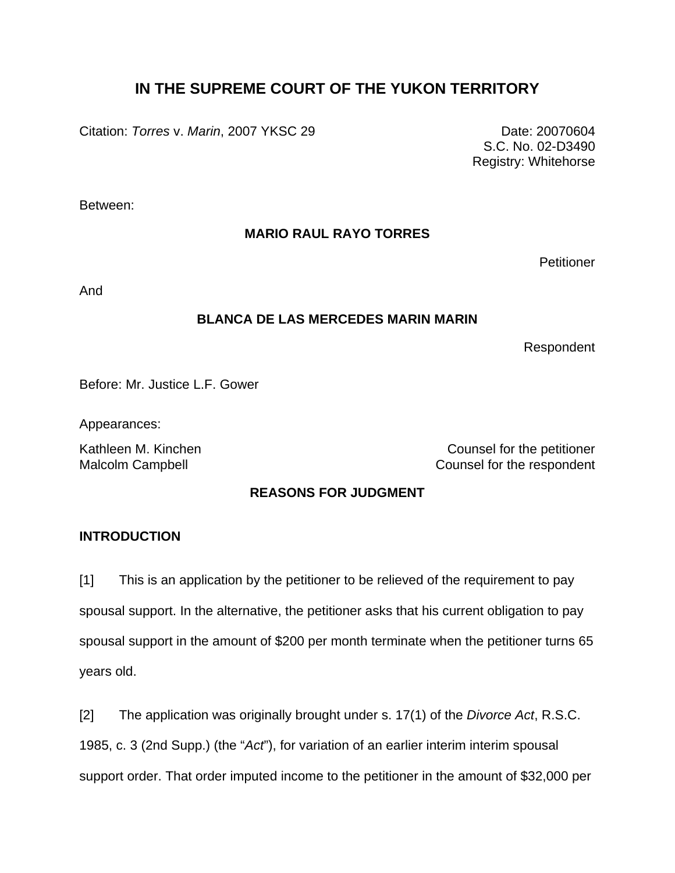# **IN THE SUPREME COURT OF THE YUKON TERRITORY**

Citation: *Torres v. Marin*, 2007 YKSC 29 Date: 20070604

S.C. No. 02-D3490 Registry: Whitehorse

Between:

# **MARIO RAUL RAYO TORRES**

**Petitioner** 

And

# **BLANCA DE LAS MERCEDES MARIN MARIN**

Respondent

Before: Mr. Justice L.F. Gower

Appearances:

Kathleen M. Kinchen Counsel for the petitioner Malcolm Campbell **Counsel for the respondent** 

# **REASONS FOR JUDGMENT**

# **INTRODUCTION**

[1] This is an application by the petitioner to be relieved of the requirement to pay spousal support. In the alternative, the petitioner asks that his current obligation to pay spousal support in the amount of \$200 per month terminate when the petitioner turns 65 years old.

[2] The application was originally brought under s. 17(1) of the *Divorce Act*, R.S.C.

1985, c. 3 (2nd Supp.) (the "*Act*"), for variation of an earlier interim interim spousal

support order. That order imputed income to the petitioner in the amount of \$32,000 per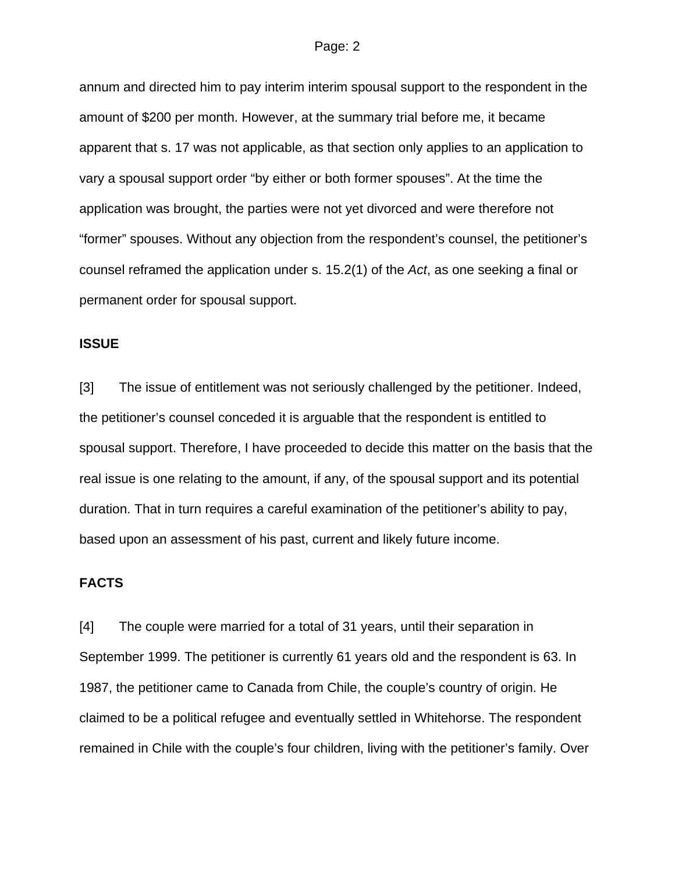annum and directed him to pay interim interim spousal support to the respondent in the amount of \$200 per month. However, at the summary trial before me, it became apparent that s. 17 was not applicable, as that section only applies to an application to vary a spousal support order "by either or both former spouses". At the time the application was brought, the parties were not yet divorced and were therefore not "former" spouses. Without any objection from the respondent's counsel, the petitioner's counsel reframed the application under s. 15.2(1) of the *Act*, as one seeking a final or permanent order for spousal support.

### **ISSUE**

[3] The issue of entitlement was not seriously challenged by the petitioner. Indeed, the petitioner's counsel conceded it is arguable that the respondent is entitled to spousal support. Therefore, I have proceeded to decide this matter on the basis that the real issue is one relating to the amount, if any, of the spousal support and its potential duration. That in turn requires a careful examination of the petitioner's ability to pay, based upon an assessment of his past, current and likely future income.

### **FACTS**

[4] The couple were married for a total of 31 years, until their separation in September 1999. The petitioner is currently 61 years old and the respondent is 63. In 1987, the petitioner came to Canada from Chile, the couple's country of origin. He claimed to be a political refugee and eventually settled in Whitehorse. The respondent remained in Chile with the couple's four children, living with the petitioner's family. Over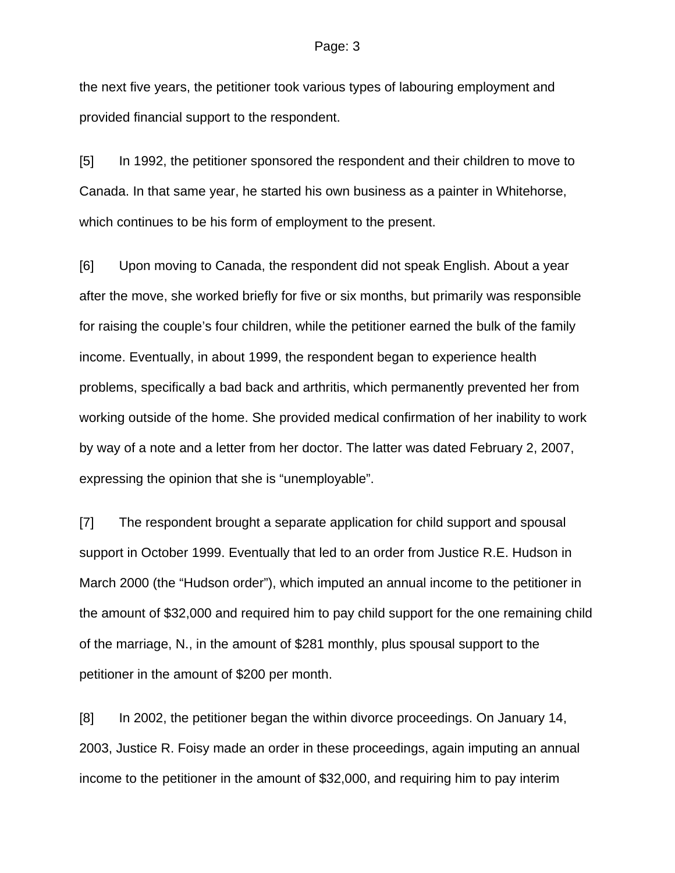the next five years, the petitioner took various types of labouring employment and provided financial support to the respondent.

[5] In 1992, the petitioner sponsored the respondent and their children to move to Canada. In that same year, he started his own business as a painter in Whitehorse, which continues to be his form of employment to the present.

[6] Upon moving to Canada, the respondent did not speak English. About a year after the move, she worked briefly for five or six months, but primarily was responsible for raising the couple's four children, while the petitioner earned the bulk of the family income. Eventually, in about 1999, the respondent began to experience health problems, specifically a bad back and arthritis, which permanently prevented her from working outside of the home. She provided medical confirmation of her inability to work by way of a note and a letter from her doctor. The latter was dated February 2, 2007, expressing the opinion that she is "unemployable".

[7] The respondent brought a separate application for child support and spousal support in October 1999. Eventually that led to an order from Justice R.E. Hudson in March 2000 (the "Hudson order"), which imputed an annual income to the petitioner in the amount of \$32,000 and required him to pay child support for the one remaining child of the marriage, N., in the amount of \$281 monthly, plus spousal support to the petitioner in the amount of \$200 per month.

[8] In 2002, the petitioner began the within divorce proceedings. On January 14, 2003, Justice R. Foisy made an order in these proceedings, again imputing an annual income to the petitioner in the amount of \$32,000, and requiring him to pay interim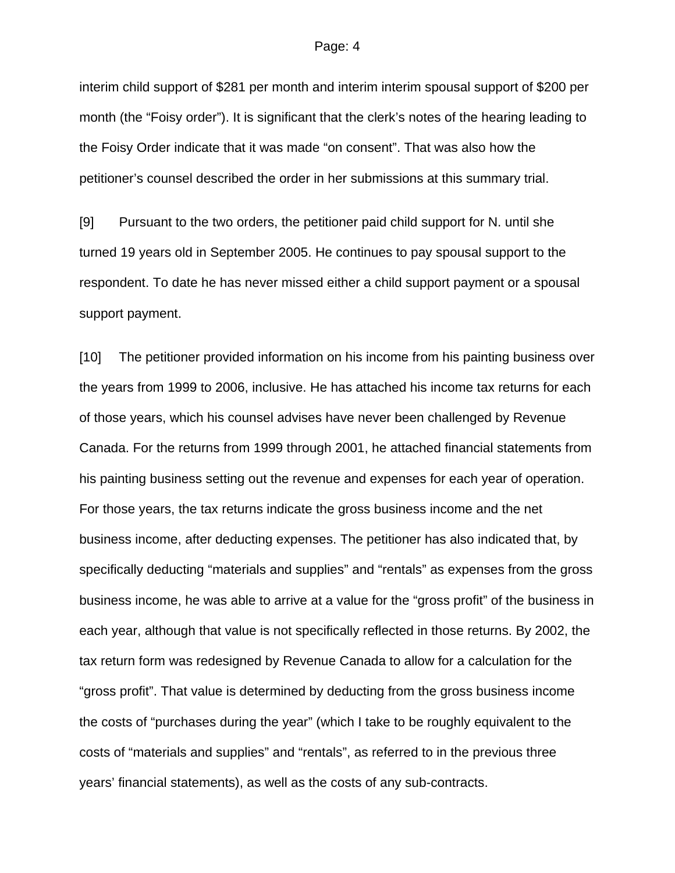interim child support of \$281 per month and interim interim spousal support of \$200 per month (the "Foisy order"). It is significant that the clerk's notes of the hearing leading to the Foisy Order indicate that it was made "on consent". That was also how the petitioner's counsel described the order in her submissions at this summary trial.

[9] Pursuant to the two orders, the petitioner paid child support for N. until she turned 19 years old in September 2005. He continues to pay spousal support to the respondent. To date he has never missed either a child support payment or a spousal support payment.

[10] The petitioner provided information on his income from his painting business over the years from 1999 to 2006, inclusive. He has attached his income tax returns for each of those years, which his counsel advises have never been challenged by Revenue Canada. For the returns from 1999 through 2001, he attached financial statements from his painting business setting out the revenue and expenses for each year of operation. For those years, the tax returns indicate the gross business income and the net business income, after deducting expenses. The petitioner has also indicated that, by specifically deducting "materials and supplies" and "rentals" as expenses from the gross business income, he was able to arrive at a value for the "gross profit" of the business in each year, although that value is not specifically reflected in those returns. By 2002, the tax return form was redesigned by Revenue Canada to allow for a calculation for the "gross profit". That value is determined by deducting from the gross business income the costs of "purchases during the year" (which I take to be roughly equivalent to the costs of "materials and supplies" and "rentals", as referred to in the previous three years' financial statements), as well as the costs of any sub-contracts.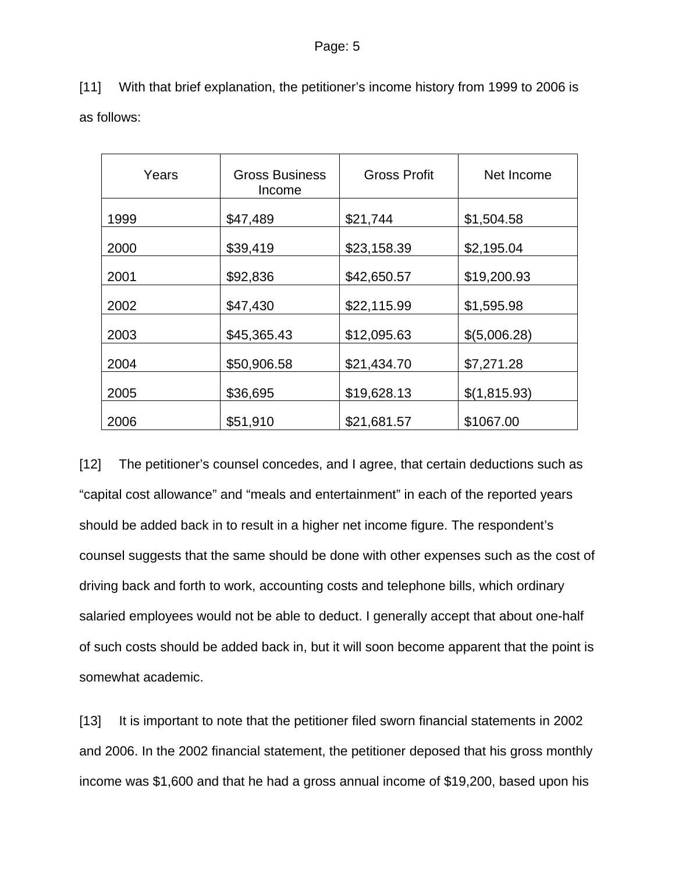[11] With that brief explanation, the petitioner's income history from 1999 to 2006 is as follows:

| Years | <b>Gross Business</b><br>Income | <b>Gross Profit</b> | Net Income   |
|-------|---------------------------------|---------------------|--------------|
| 1999  | \$47,489                        | \$21,744            | \$1,504.58   |
| 2000  | \$39,419                        | \$23,158.39         | \$2,195.04   |
| 2001  | \$92,836                        | \$42,650.57         | \$19,200.93  |
| 2002  | \$47,430                        | \$22,115.99         | \$1,595.98   |
| 2003  | \$45,365.43                     | \$12,095.63         | \$(5,006.28) |
| 2004  | \$50,906.58                     | \$21,434.70         | \$7,271.28   |
| 2005  | \$36,695                        | \$19,628.13         | \$(1,815.93) |
| 2006  | \$51,910                        | \$21,681.57         | \$1067.00    |

[12] The petitioner's counsel concedes, and I agree, that certain deductions such as "capital cost allowance" and "meals and entertainment" in each of the reported years should be added back in to result in a higher net income figure. The respondent's counsel suggests that the same should be done with other expenses such as the cost of driving back and forth to work, accounting costs and telephone bills, which ordinary salaried employees would not be able to deduct. I generally accept that about one-half of such costs should be added back in, but it will soon become apparent that the point is somewhat academic.

[13] It is important to note that the petitioner filed sworn financial statements in 2002 and 2006. In the 2002 financial statement, the petitioner deposed that his gross monthly income was \$1,600 and that he had a gross annual income of \$19,200, based upon his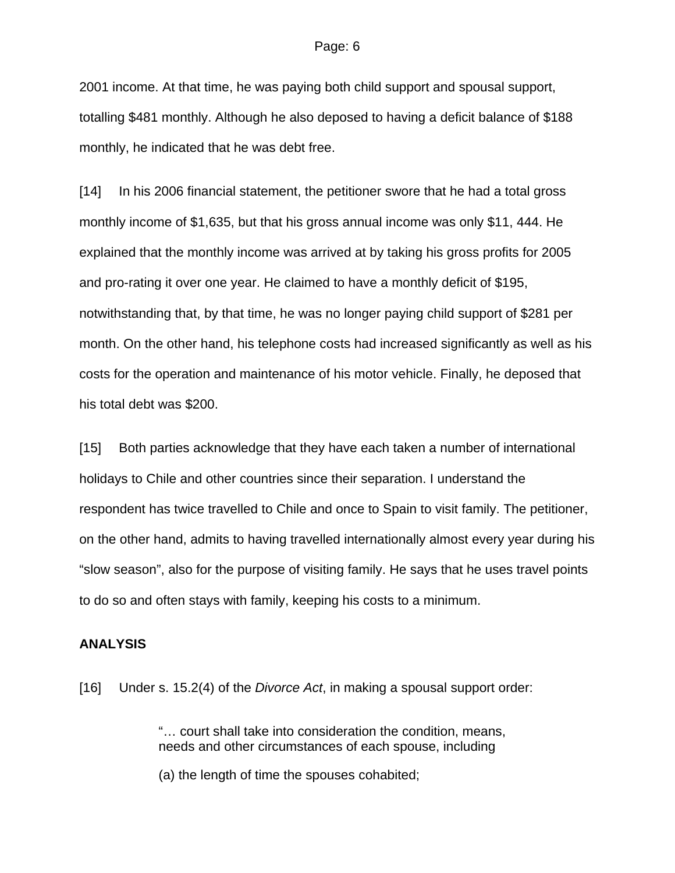2001 income. At that time, he was paying both child support and spousal support, totalling \$481 monthly. Although he also deposed to having a deficit balance of \$188 monthly, he indicated that he was debt free.

[14] In his 2006 financial statement, the petitioner swore that he had a total gross monthly income of \$1,635, but that his gross annual income was only \$11, 444. He explained that the monthly income was arrived at by taking his gross profits for 2005 and pro-rating it over one year. He claimed to have a monthly deficit of \$195, notwithstanding that, by that time, he was no longer paying child support of \$281 per month. On the other hand, his telephone costs had increased significantly as well as his costs for the operation and maintenance of his motor vehicle. Finally, he deposed that his total debt was \$200.

[15] Both parties acknowledge that they have each taken a number of international holidays to Chile and other countries since their separation. I understand the respondent has twice travelled to Chile and once to Spain to visit family. The petitioner, on the other hand, admits to having travelled internationally almost every year during his "slow season", also for the purpose of visiting family. He says that he uses travel points to do so and often stays with family, keeping his costs to a minimum.

### **ANALYSIS**

[16] Under s. 15.2(4) of the *Divorce Act*, in making a spousal support order:

"… court shall take into consideration the condition, means, needs and other circumstances of each spouse, including

(a) the length of time the spouses cohabited;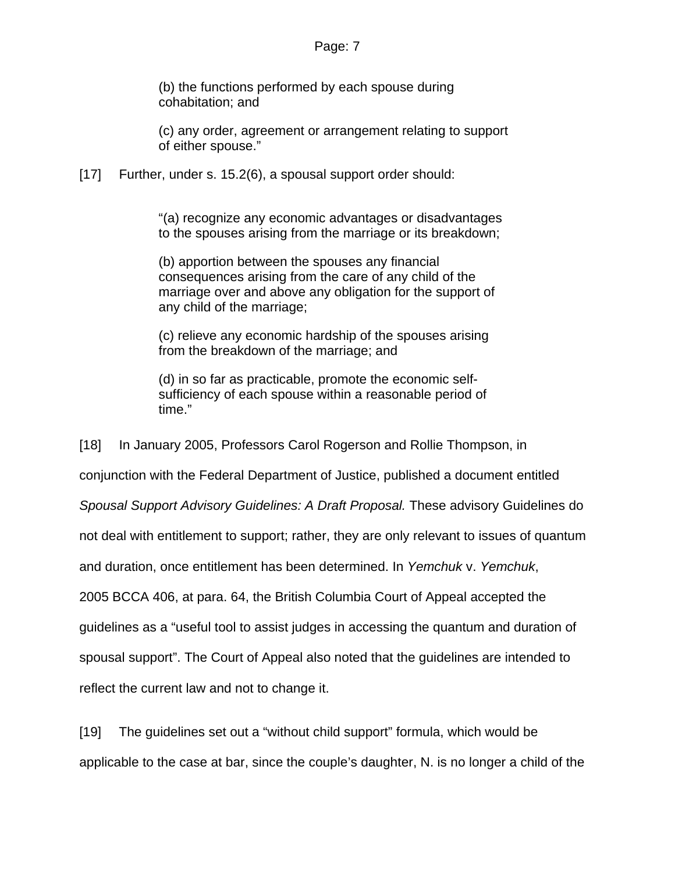(b) the functions performed by each spouse during cohabitation; and

(c) any order, agreement or arrangement relating to support of either spouse."

[17] Further, under s. 15.2(6), a spousal support order should:

"(a) recognize any economic advantages or disadvantages to the spouses arising from the marriage or its breakdown;

(b) apportion between the spouses any financial consequences arising from the care of any child of the marriage over and above any obligation for the support of any child of the marriage;

(c) relieve any economic hardship of the spouses arising from the breakdown of the marriage; and

(d) in so far as practicable, promote the economic selfsufficiency of each spouse within a reasonable period of time."

[18] In January 2005, Professors Carol Rogerson and Rollie Thompson, in

conjunction with the Federal Department of Justice, published a document entitled

*Spousal Support Advisory Guidelines: A Draft Proposal.* These advisory Guidelines do

not deal with entitlement to support; rather, they are only relevant to issues of quantum

and duration, once entitlement has been determined. In *Yemchuk* v. *Yemchuk*,

2005 BCCA 406, at para. 64, the British Columbia Court of Appeal accepted the

guidelines as a "useful tool to assist judges in accessing the quantum and duration of

spousal support". The Court of Appeal also noted that the guidelines are intended to

reflect the current law and not to change it.

[19] The guidelines set out a "without child support" formula, which would be applicable to the case at bar, since the couple's daughter, N. is no longer a child of the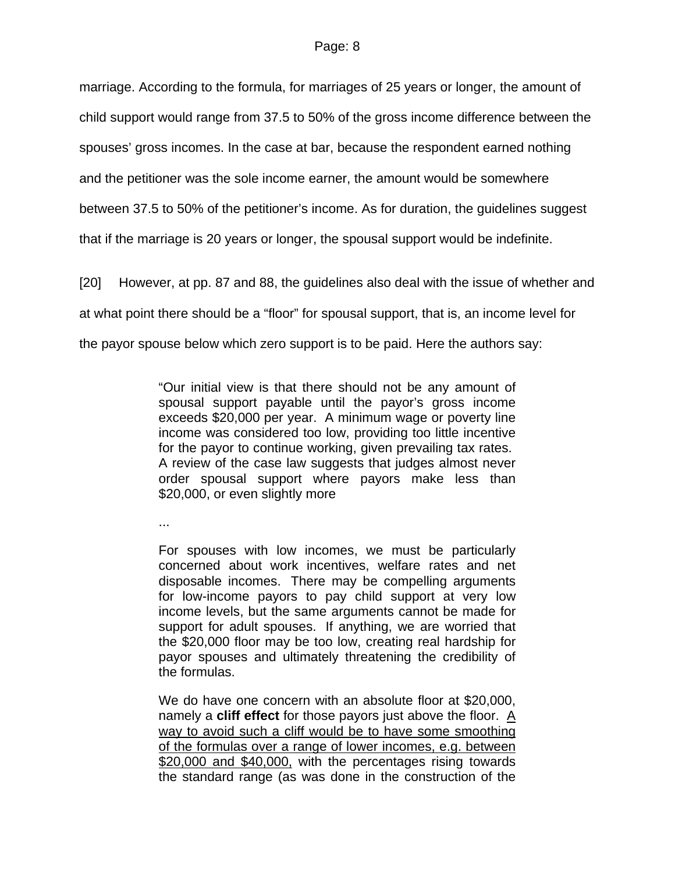marriage. According to the formula, for marriages of 25 years or longer, the amount of child support would range from 37.5 to 50% of the gross income difference between the spouses' gross incomes. In the case at bar, because the respondent earned nothing and the petitioner was the sole income earner, the amount would be somewhere between 37.5 to 50% of the petitioner's income. As for duration, the guidelines suggest that if the marriage is 20 years or longer, the spousal support would be indefinite.

[20] However, at pp. 87 and 88, the guidelines also deal with the issue of whether and at what point there should be a "floor" for spousal support, that is, an income level for the payor spouse below which zero support is to be paid. Here the authors say:

> "Our initial view is that there should not be any amount of spousal support payable until the payor's gross income exceeds \$20,000 per year. A minimum wage or poverty line income was considered too low, providing too little incentive for the payor to continue working, given prevailing tax rates. A review of the case law suggests that judges almost never order spousal support where payors make less than \$20,000, or even slightly more

...

For spouses with low incomes, we must be particularly concerned about work incentives, welfare rates and net disposable incomes. There may be compelling arguments for low-income payors to pay child support at very low income levels, but the same arguments cannot be made for support for adult spouses. If anything, we are worried that the \$20,000 floor may be too low, creating real hardship for payor spouses and ultimately threatening the credibility of the formulas.

We do have one concern with an absolute floor at \$20,000, namely a **cliff effect** for those payors just above the floor. A way to avoid such a cliff would be to have some smoothing of the formulas over a range of lower incomes, e.g. between \$20,000 and \$40,000, with the percentages rising towards the standard range (as was done in the construction of the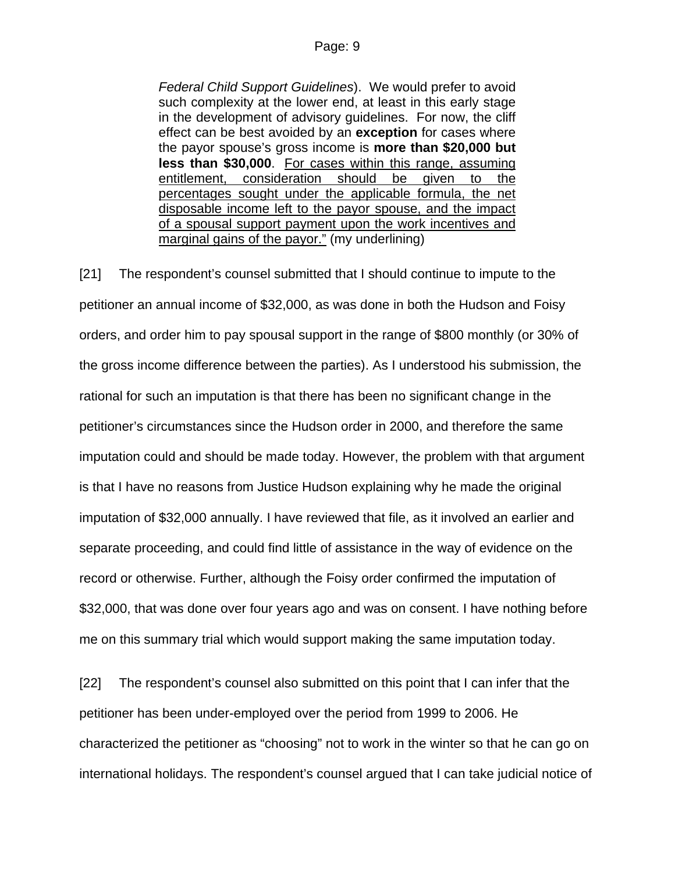*Federal Child Support Guidelines*). We would prefer to avoid such complexity at the lower end, at least in this early stage in the development of advisory guidelines. For now, the cliff effect can be best avoided by an **exception** for cases where the payor spouse's gross income is **more than \$20,000 but less than \$30,000**. For cases within this range, assuming entitlement, consideration should be given to the percentages sought under the applicable formula, the net disposable income left to the payor spouse, and the impact of a spousal support payment upon the work incentives and marginal gains of the payor." (my underlining)

[21] The respondent's counsel submitted that I should continue to impute to the petitioner an annual income of \$32,000, as was done in both the Hudson and Foisy orders, and order him to pay spousal support in the range of \$800 monthly (or 30% of the gross income difference between the parties). As I understood his submission, the rational for such an imputation is that there has been no significant change in the petitioner's circumstances since the Hudson order in 2000, and therefore the same imputation could and should be made today. However, the problem with that argument is that I have no reasons from Justice Hudson explaining why he made the original imputation of \$32,000 annually. I have reviewed that file, as it involved an earlier and separate proceeding, and could find little of assistance in the way of evidence on the record or otherwise. Further, although the Foisy order confirmed the imputation of \$32,000, that was done over four years ago and was on consent. I have nothing before me on this summary trial which would support making the same imputation today.

[22] The respondent's counsel also submitted on this point that I can infer that the petitioner has been under-employed over the period from 1999 to 2006. He characterized the petitioner as "choosing" not to work in the winter so that he can go on international holidays. The respondent's counsel argued that I can take judicial notice of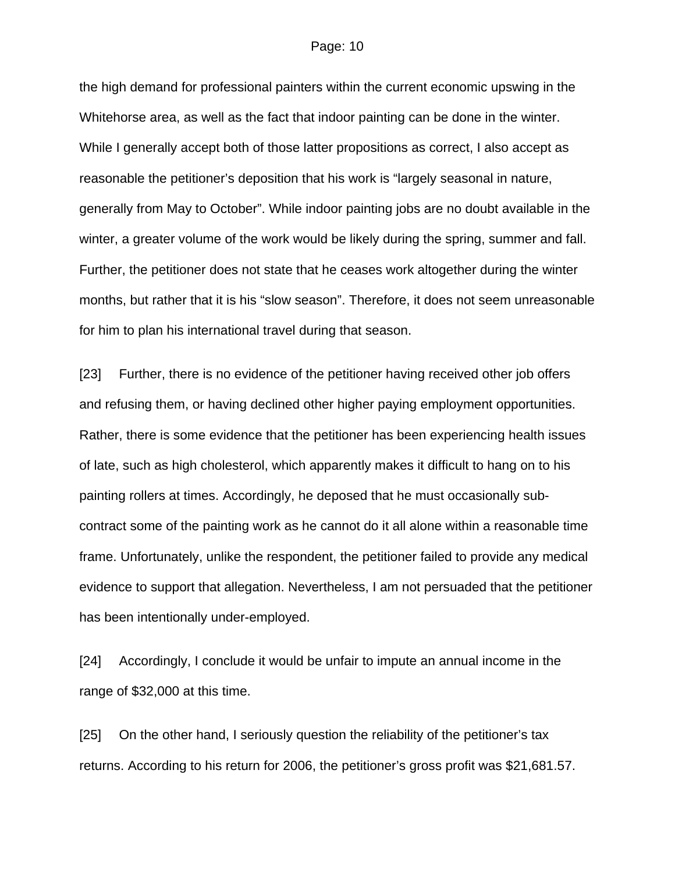the high demand for professional painters within the current economic upswing in the Whitehorse area, as well as the fact that indoor painting can be done in the winter. While I generally accept both of those latter propositions as correct, I also accept as reasonable the petitioner's deposition that his work is "largely seasonal in nature, generally from May to October". While indoor painting jobs are no doubt available in the winter, a greater volume of the work would be likely during the spring, summer and fall. Further, the petitioner does not state that he ceases work altogether during the winter months, but rather that it is his "slow season". Therefore, it does not seem unreasonable for him to plan his international travel during that season.

[23] Further, there is no evidence of the petitioner having received other job offers and refusing them, or having declined other higher paying employment opportunities. Rather, there is some evidence that the petitioner has been experiencing health issues of late, such as high cholesterol, which apparently makes it difficult to hang on to his painting rollers at times. Accordingly, he deposed that he must occasionally subcontract some of the painting work as he cannot do it all alone within a reasonable time frame. Unfortunately, unlike the respondent, the petitioner failed to provide any medical evidence to support that allegation. Nevertheless, I am not persuaded that the petitioner has been intentionally under-employed.

[24] Accordingly, I conclude it would be unfair to impute an annual income in the range of \$32,000 at this time.

[25] On the other hand, I seriously question the reliability of the petitioner's tax returns. According to his return for 2006, the petitioner's gross profit was \$21,681.57.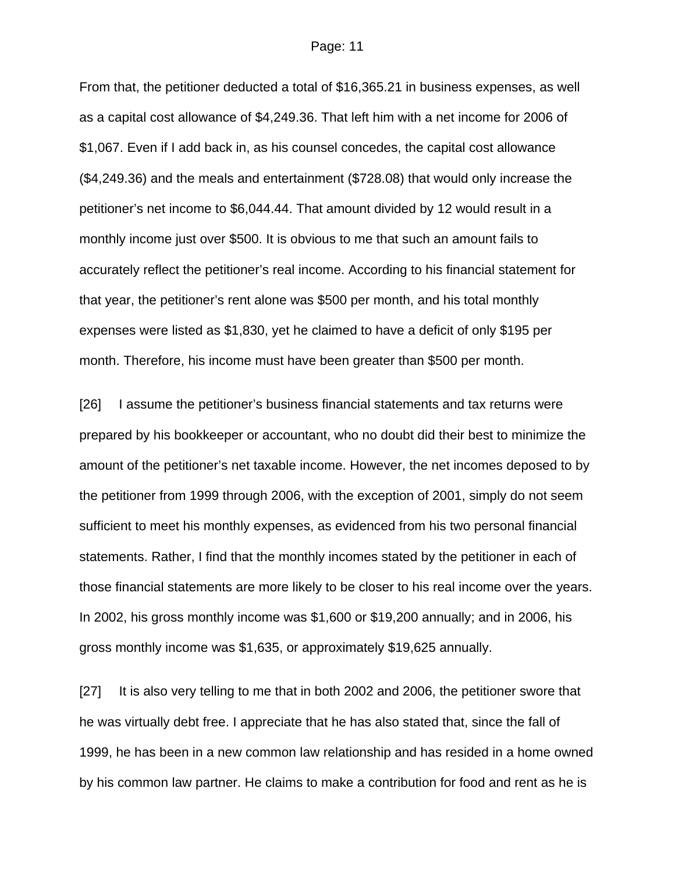From that, the petitioner deducted a total of \$16,365.21 in business expenses, as well as a capital cost allowance of \$4,249.36. That left him with a net income for 2006 of \$1,067. Even if I add back in, as his counsel concedes, the capital cost allowance (\$4,249.36) and the meals and entertainment (\$728.08) that would only increase the petitioner's net income to \$6,044.44. That amount divided by 12 would result in a monthly income just over \$500. It is obvious to me that such an amount fails to accurately reflect the petitioner's real income. According to his financial statement for that year, the petitioner's rent alone was \$500 per month, and his total monthly expenses were listed as \$1,830, yet he claimed to have a deficit of only \$195 per month. Therefore, his income must have been greater than \$500 per month.

[26] I assume the petitioner's business financial statements and tax returns were prepared by his bookkeeper or accountant, who no doubt did their best to minimize the amount of the petitioner's net taxable income. However, the net incomes deposed to by the petitioner from 1999 through 2006, with the exception of 2001, simply do not seem sufficient to meet his monthly expenses, as evidenced from his two personal financial statements. Rather, I find that the monthly incomes stated by the petitioner in each of those financial statements are more likely to be closer to his real income over the years. In 2002, his gross monthly income was \$1,600 or \$19,200 annually; and in 2006, his gross monthly income was \$1,635, or approximately \$19,625 annually.

[27] It is also very telling to me that in both 2002 and 2006, the petitioner swore that he was virtually debt free. I appreciate that he has also stated that, since the fall of 1999, he has been in a new common law relationship and has resided in a home owned by his common law partner. He claims to make a contribution for food and rent as he is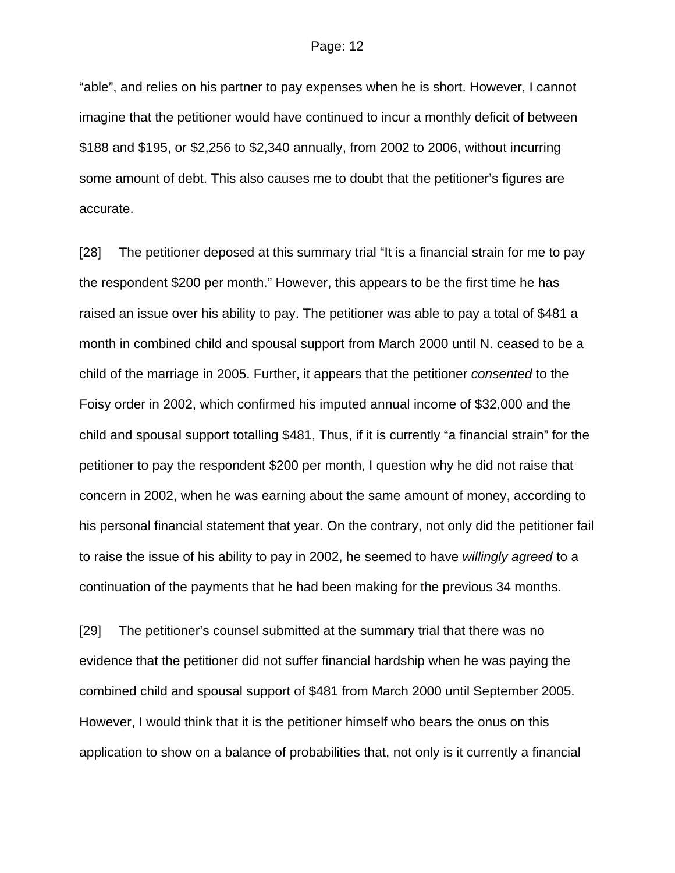"able", and relies on his partner to pay expenses when he is short. However, I cannot imagine that the petitioner would have continued to incur a monthly deficit of between \$188 and \$195, or \$2,256 to \$2,340 annually, from 2002 to 2006, without incurring some amount of debt. This also causes me to doubt that the petitioner's figures are accurate.

[28] The petitioner deposed at this summary trial "It is a financial strain for me to pay the respondent \$200 per month." However, this appears to be the first time he has raised an issue over his ability to pay. The petitioner was able to pay a total of \$481 a month in combined child and spousal support from March 2000 until N. ceased to be a child of the marriage in 2005. Further, it appears that the petitioner *consented* to the Foisy order in 2002, which confirmed his imputed annual income of \$32,000 and the child and spousal support totalling \$481, Thus, if it is currently "a financial strain" for the petitioner to pay the respondent \$200 per month, I question why he did not raise that concern in 2002, when he was earning about the same amount of money, according to his personal financial statement that year. On the contrary, not only did the petitioner fail to raise the issue of his ability to pay in 2002, he seemed to have *willingly agreed* to a continuation of the payments that he had been making for the previous 34 months.

[29] The petitioner's counsel submitted at the summary trial that there was no evidence that the petitioner did not suffer financial hardship when he was paying the combined child and spousal support of \$481 from March 2000 until September 2005. However, I would think that it is the petitioner himself who bears the onus on this application to show on a balance of probabilities that, not only is it currently a financial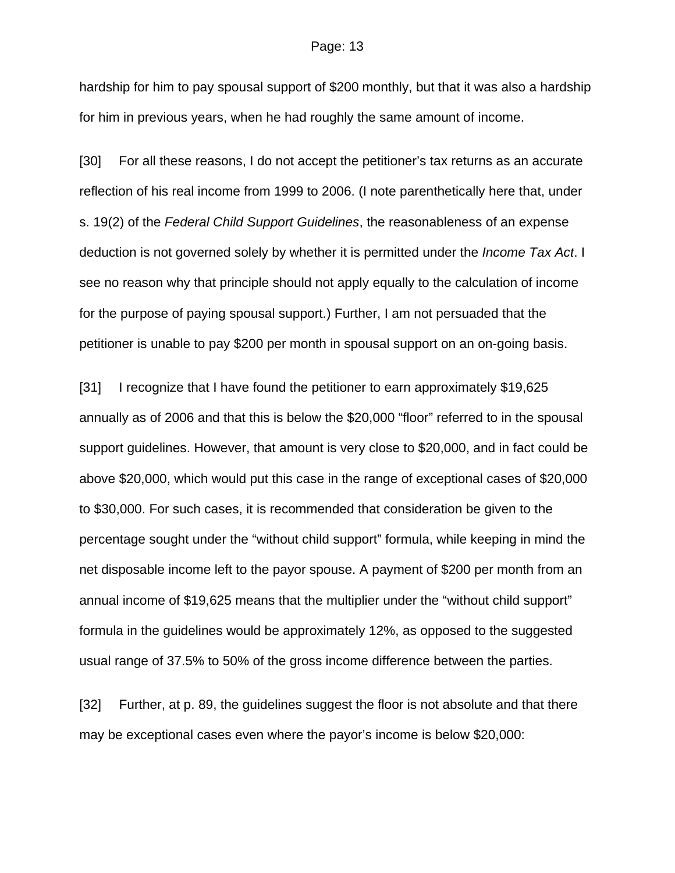hardship for him to pay spousal support of \$200 monthly, but that it was also a hardship for him in previous years, when he had roughly the same amount of income.

[30] For all these reasons, I do not accept the petitioner's tax returns as an accurate reflection of his real income from 1999 to 2006. (I note parenthetically here that, under s. 19(2) of the *Federal Child Support Guidelines*, the reasonableness of an expense deduction is not governed solely by whether it is permitted under the *Income Tax Act*. I see no reason why that principle should not apply equally to the calculation of income for the purpose of paying spousal support.) Further, I am not persuaded that the petitioner is unable to pay \$200 per month in spousal support on an on-going basis.

[31] I recognize that I have found the petitioner to earn approximately \$19,625 annually as of 2006 and that this is below the \$20,000 "floor" referred to in the spousal support guidelines. However, that amount is very close to \$20,000, and in fact could be above \$20,000, which would put this case in the range of exceptional cases of \$20,000 to \$30,000. For such cases, it is recommended that consideration be given to the percentage sought under the "without child support" formula, while keeping in mind the net disposable income left to the payor spouse. A payment of \$200 per month from an annual income of \$19,625 means that the multiplier under the "without child support" formula in the guidelines would be approximately 12%, as opposed to the suggested usual range of 37.5% to 50% of the gross income difference between the parties.

[32] Further, at p. 89, the guidelines suggest the floor is not absolute and that there may be exceptional cases even where the payor's income is below \$20,000: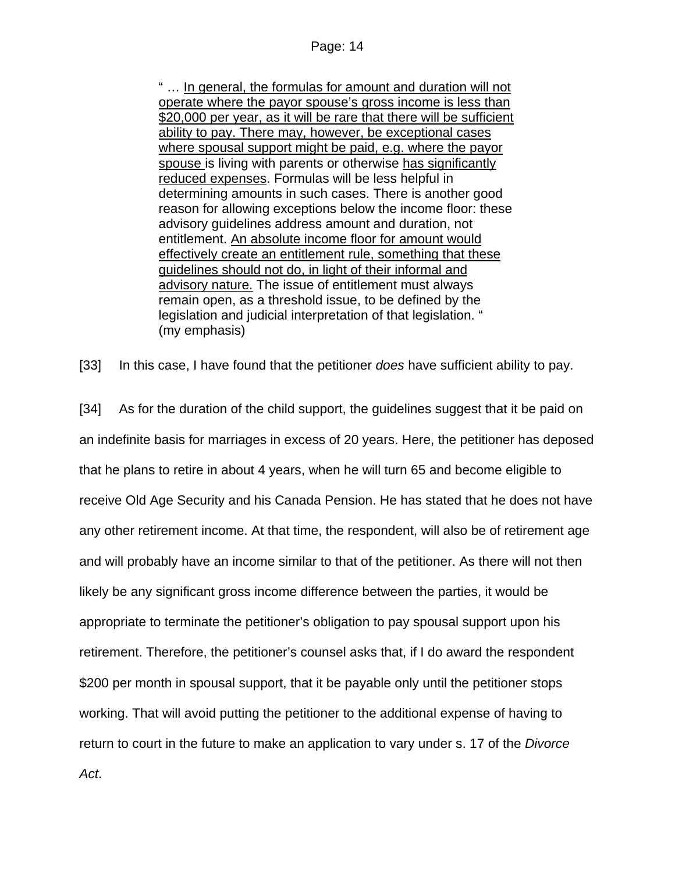" … In general, the formulas for amount and duration will not operate where the payor spouse's gross income is less than \$20,000 per year, as it will be rare that there will be sufficient ability to pay. There may, however, be exceptional cases where spousal support might be paid, e.g. where the payor spouse is living with parents or otherwise has significantly reduced expenses. Formulas will be less helpful in determining amounts in such cases. There is another good reason for allowing exceptions below the income floor: these advisory guidelines address amount and duration, not entitlement. An absolute income floor for amount would effectively create an entitlement rule, something that these guidelines should not do, in light of their informal and advisory nature. The issue of entitlement must always remain open, as a threshold issue, to be defined by the legislation and judicial interpretation of that legislation. " (my emphasis)

[33] In this case, I have found that the petitioner *does* have sufficient ability to pay.

[34] As for the duration of the child support, the guidelines suggest that it be paid on an indefinite basis for marriages in excess of 20 years. Here, the petitioner has deposed that he plans to retire in about 4 years, when he will turn 65 and become eligible to receive Old Age Security and his Canada Pension. He has stated that he does not have any other retirement income. At that time, the respondent, will also be of retirement age and will probably have an income similar to that of the petitioner. As there will not then likely be any significant gross income difference between the parties, it would be appropriate to terminate the petitioner's obligation to pay spousal support upon his retirement. Therefore, the petitioner's counsel asks that, if I do award the respondent \$200 per month in spousal support, that it be payable only until the petitioner stops working. That will avoid putting the petitioner to the additional expense of having to return to court in the future to make an application to vary under s. 17 of the *Divorce Act*.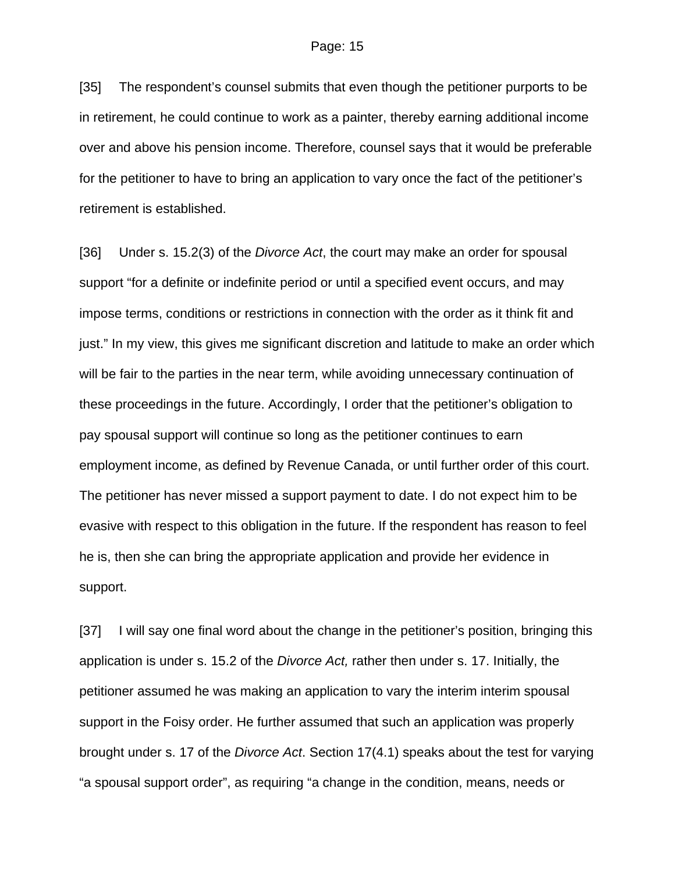[35] The respondent's counsel submits that even though the petitioner purports to be in retirement, he could continue to work as a painter, thereby earning additional income over and above his pension income. Therefore, counsel says that it would be preferable for the petitioner to have to bring an application to vary once the fact of the petitioner's retirement is established.

[36] Under s. 15.2(3) of the *Divorce Act*, the court may make an order for spousal support "for a definite or indefinite period or until a specified event occurs, and may impose terms, conditions or restrictions in connection with the order as it think fit and just." In my view, this gives me significant discretion and latitude to make an order which will be fair to the parties in the near term, while avoiding unnecessary continuation of these proceedings in the future. Accordingly, I order that the petitioner's obligation to pay spousal support will continue so long as the petitioner continues to earn employment income, as defined by Revenue Canada, or until further order of this court. The petitioner has never missed a support payment to date. I do not expect him to be evasive with respect to this obligation in the future. If the respondent has reason to feel he is, then she can bring the appropriate application and provide her evidence in support.

[37] I will say one final word about the change in the petitioner's position, bringing this application is under s. 15.2 of the *Divorce Act,* rather then under s. 17. Initially, the petitioner assumed he was making an application to vary the interim interim spousal support in the Foisy order. He further assumed that such an application was properly brought under s. 17 of the *Divorce Act*. Section 17(4.1) speaks about the test for varying "a spousal support order", as requiring "a change in the condition, means, needs or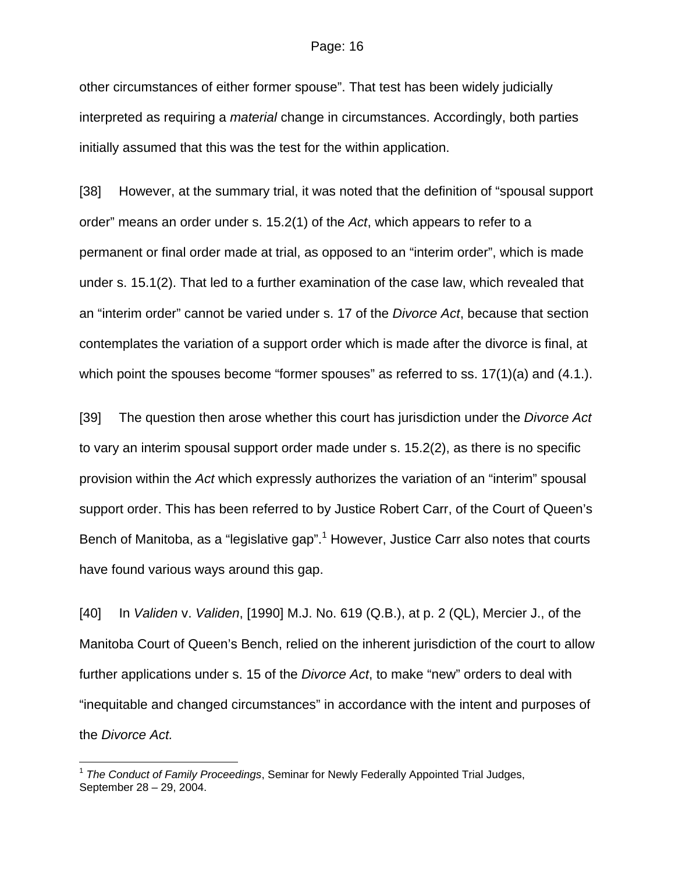other circumstances of either former spouse". That test has been widely judicially interpreted as requiring a *material* change in circumstances. Accordingly, both parties initially assumed that this was the test for the within application.

[38] However, at the summary trial, it was noted that the definition of "spousal support order" means an order under s. 15.2(1) of the *Act*, which appears to refer to a permanent or final order made at trial, as opposed to an "interim order", which is made under s. 15.1(2). That led to a further examination of the case law, which revealed that an "interim order" cannot be varied under s. 17 of the *Divorce Act*, because that section contemplates the variation of a support order which is made after the divorce is final, at which point the spouses become "former spouses" as referred to ss. 17(1)(a) and (4.1.).

[39] The question then arose whether this court has jurisdiction under the *Divorce Act* to vary an interim spousal support order made under s. 15.2(2), as there is no specific provision within the *Act* which expressly authorizes the variation of an "interim" spousal support order. This has been referred to by Justice Robert Carr, of the Court of Queen's Bench of Manitoba, as a "legislative gap".<sup>1</sup> However, Justice Carr also notes that courts have found various ways around this gap.

[40] In *Validen* v. *Validen*, [1990] M.J. No. 619 (Q.B.), at p. 2 (QL), Mercier J., of the Manitoba Court of Queen's Bench, relied on the inherent jurisdiction of the court to allow further applications under s. 15 of the *Divorce Act*, to make "new" orders to deal with "inequitable and changed circumstances" in accordance with the intent and purposes of the *Divorce Act.*

 $\overline{a}$ 

<sup>1</sup> *The Conduct of Family Proceedings*, Seminar for Newly Federally Appointed Trial Judges, September 28 – 29, 2004.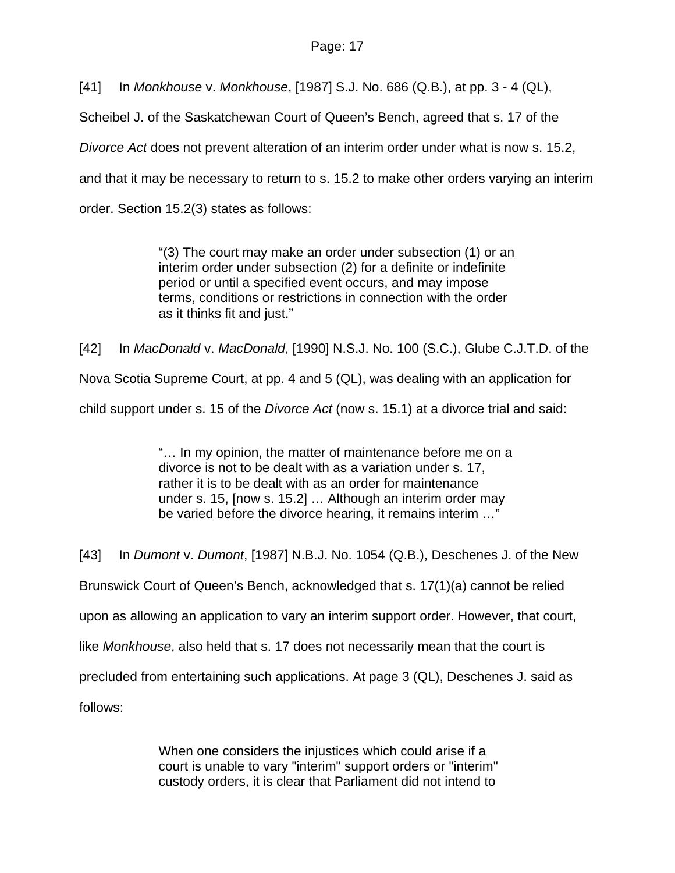[41] In *Monkhouse* v. *Monkhouse*, [1987] S.J. No. 686 (Q.B.), at pp. 3 - 4 (QL),

Scheibel J. of the Saskatchewan Court of Queen's Bench, agreed that s. 17 of the

*Divorce Act* does not prevent alteration of an interim order under what is now s. 15.2,

and that it may be necessary to return to s. 15.2 to make other orders varying an interim

order. Section 15.2(3) states as follows:

"(3) The court may make an order under subsection (1) or an interim order under subsection (2) for a definite or indefinite period or until a specified event occurs, and may impose terms, conditions or restrictions in connection with the order as it thinks fit and just."

[42] In *MacDonald* v. *MacDonald,* [1990] N.S.J. No. 100 (S.C.), Glube C.J.T.D. of the Nova Scotia Supreme Court, at pp. 4 and 5 (QL), was dealing with an application for child support under s. 15 of the *Divorce Act* (now s. 15.1) at a divorce trial and said:

> "… In my opinion, the matter of maintenance before me on a divorce is not to be dealt with as a variation under s. 17, rather it is to be dealt with as an order for maintenance under s. 15, [now s. 15.2] … Although an interim order may be varied before the divorce hearing, it remains interim …"

[43] In *Dumont* v. *Dumont*, [1987] N.B.J. No. 1054 (Q.B.), Deschenes J. of the New Brunswick Court of Queen's Bench, acknowledged that s. 17(1)(a) cannot be relied upon as allowing an application to vary an interim support order. However, that court, like *Monkhouse*, also held that s. 17 does not necessarily mean that the court is precluded from entertaining such applications. At page 3 (QL), Deschenes J. said as follows:

> When one considers the injustices which could arise if a court is unable to vary "interim" support orders or "interim" custody orders, it is clear that Parliament did not intend to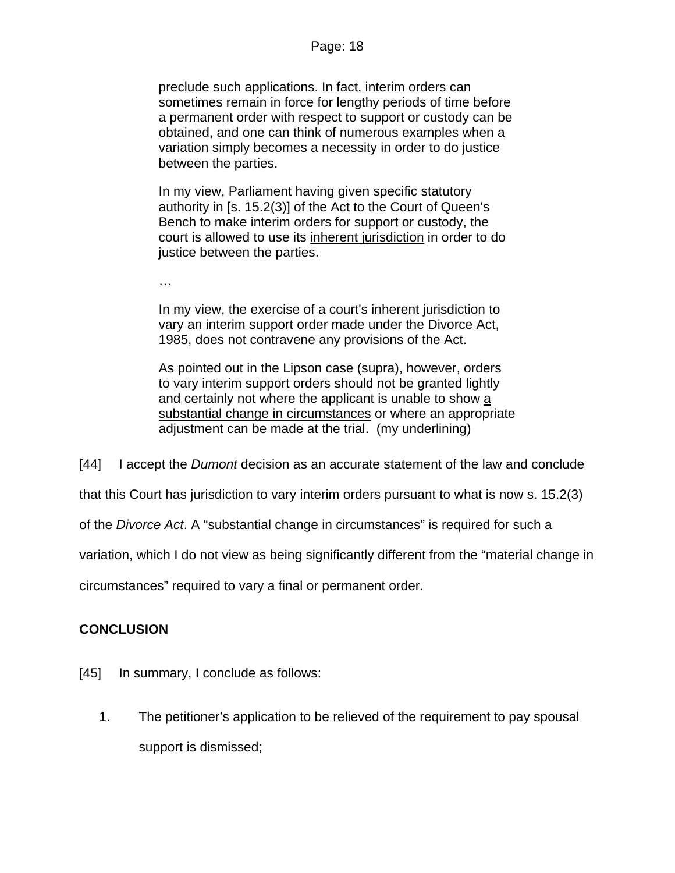preclude such applications. In fact, interim orders can sometimes remain in force for lengthy periods of time before a permanent order with respect to support or custody can be obtained, and one can think of numerous examples when a variation simply becomes a necessity in order to do justice between the parties.

In my view, Parliament having given specific statutory authority in [s. 15.2(3)] of the Act to the Court of Queen's Bench to make interim orders for support or custody, the court is allowed to use its inherent jurisdiction in order to do justice between the parties.

In my view, the exercise of a court's inherent jurisdiction to vary an interim support order made under the Divorce Act, 1985, does not contravene any provisions of the Act.

As pointed out in the Lipson case (supra), however, orders to vary interim support orders should not be granted lightly and certainly not where the applicant is unable to show a substantial change in circumstances or where an appropriate adjustment can be made at the trial. (my underlining)

[44] I accept the *Dumont* decision as an accurate statement of the law and conclude

that this Court has jurisdiction to vary interim orders pursuant to what is now s. 15.2(3)

of the *Divorce Act*. A "substantial change in circumstances" is required for such a

variation, which I do not view as being significantly different from the "material change in

circumstances" required to vary a final or permanent order.

# **CONCLUSION**

…

- [45] In summary, I conclude as follows:
	- 1. The petitioner's application to be relieved of the requirement to pay spousal support is dismissed;